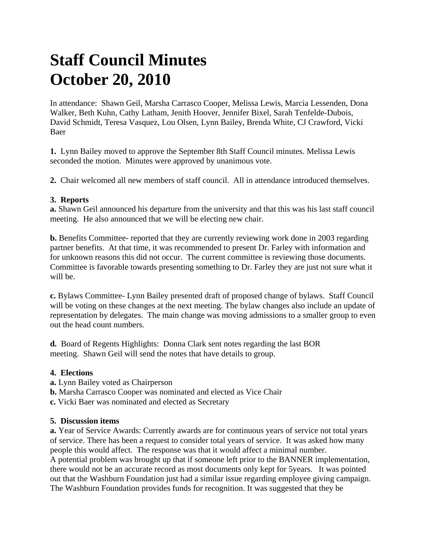# **Staff Council Minutes October 20, 2010**

In attendance: Shawn Geil, Marsha Carrasco Cooper, Melissa Lewis, Marcia Lessenden, Dona Walker, Beth Kuhn, Cathy Latham, Jenith Hoover, Jennifer Bixel, Sarah Tenfelde-Dubois, David Schmidt, Teresa Vasquez, Lou Olsen, Lynn Bailey, Brenda White, CJ Crawford, Vicki Baer

**1.** Lynn Bailey moved to approve the September 8th Staff Council minutes. Melissa Lewis seconded the motion. Minutes were approved by unanimous vote.

**2.** Chair welcomed all new members of staff council. All in attendance introduced themselves.

## **3. Reports**

**a.** Shawn Geil announced his departure from the university and that this was his last staff council meeting. He also announced that we will be electing new chair.

**b.** Benefits Committee- reported that they are currently reviewing work done in 2003 regarding partner benefits. At that time, it was recommended to present Dr. Farley with information and for unknown reasons this did not occur. The current committee is reviewing those documents. Committee is favorable towards presenting something to Dr. Farley they are just not sure what it will be.

**c.** Bylaws Committee- Lynn Bailey presented draft of proposed change of bylaws. Staff Council will be voting on these changes at the next meeting. The bylaw changes also include an update of representation by delegates. The main change was moving admissions to a smaller group to even out the head count numbers.

**d.** Board of Regents Highlights: Donna Clark sent notes regarding the last BOR meeting. Shawn Geil will send the notes that have details to group.

### **4. Elections**

- **a.** Lynn Bailey voted as Chairperson
- **b.** Marsha Carrasco Cooper was nominated and elected as Vice Chair
- **c.** Vicki Baer was nominated and elected as Secretary

### **5. Discussion items**

**a.** Year of Service Awards: Currently awards are for continuous years of service not total years of service. There has been a request to consider total years of service. It was asked how many people this would affect. The response was that it would affect a minimal number. A potential problem was brought up that if someone left prior to the BANNER implementation, there would not be an accurate record as most documents only kept for 5years. It was pointed out that the Washburn Foundation just had a similar issue regarding employee giving campaign. The Washburn Foundation provides funds for recognition. It was suggested that they be